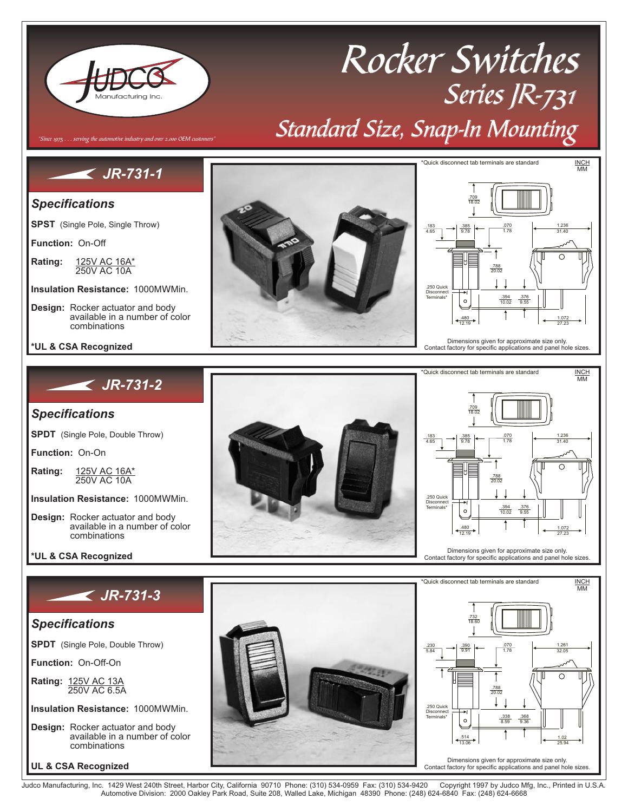

Judco Manufacturing, Inc. 1429 West 240th Street, Harbor City, California 90710 Phone: (310) 534-0959 Fax: (310) 534-9420 Copyright 1997 by Judco Mfg, Inc., Printed in U.S.A.<br>Automotive Division: 2000 Oakley Park R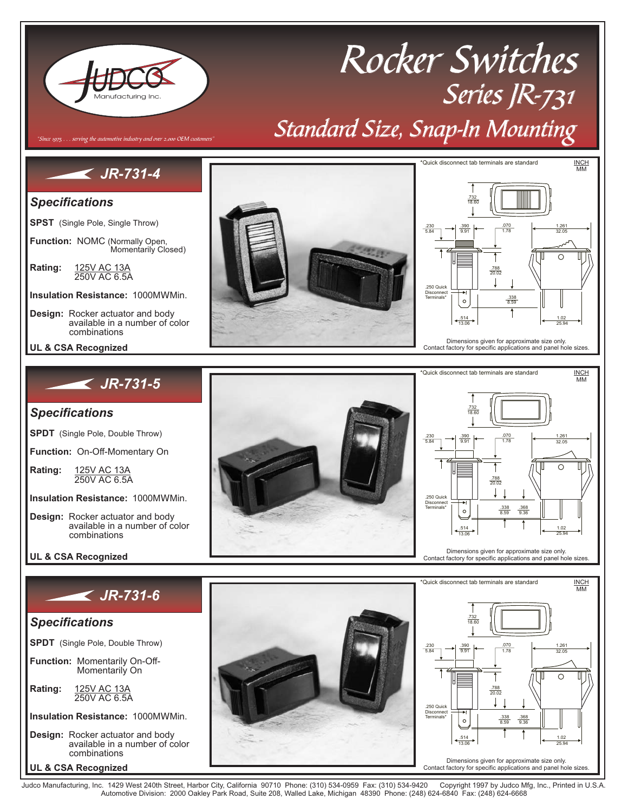

# Rocker Switches Series JR-731 Standard Size, Snap-In Mounting

## *JR-731-4*

Since 1975  $\dots$  serving the automotive industry and over 2,000 OEM customers

#### *Specifications*

**SPST** (Single Pole, Single Throw)

**Function: NOMC (Normally Open,<br>Momentarily Closed)** 

**Rating:** 250V AC 6.5A <u>125V AC 13A</u>

Insulation Resistance: 1000MΩ Min.

- **Design:** Rocker actuator and body available in a number of color combinations
- **UL & CSA Recognized**

### *JR-731-5*

#### *Specifications*

**SPDT** (Single Pole, Double Throw)

**Function:** On-Off-Momentary On

**Rating:** 250V AC 6.5A <u>125V AC 13A</u>

Insulation Resistance: 1000MΩ Min.

**Design:** Rocker actuator and body available in a number of color combinations

#### **UL & CSA Recognized**

### *JR-731-6*

#### *Specifications*

**SPDT** (Single Pole, Double Throw)

**Function:** Momentarily On-Off-Momentarily On

**Rating:** 250V AC 6.5A <u>125V AC 13A</u>

Insulation Resistance: 1000MΩ Min.

**UL & CSA Recognized Design:** Rocker actuator and body available in a number of color combinations









Judco Manufacturing, Inc. 1429 West 240th Street, Harbor City, California 90710 Phone: (310) 534-0959 Fax: (310) 534-9420 Copyright 1997 by Judco Mfg, Inc., Printed in U.S.A.<br>Automotive Division: 2000 Oakley Park R